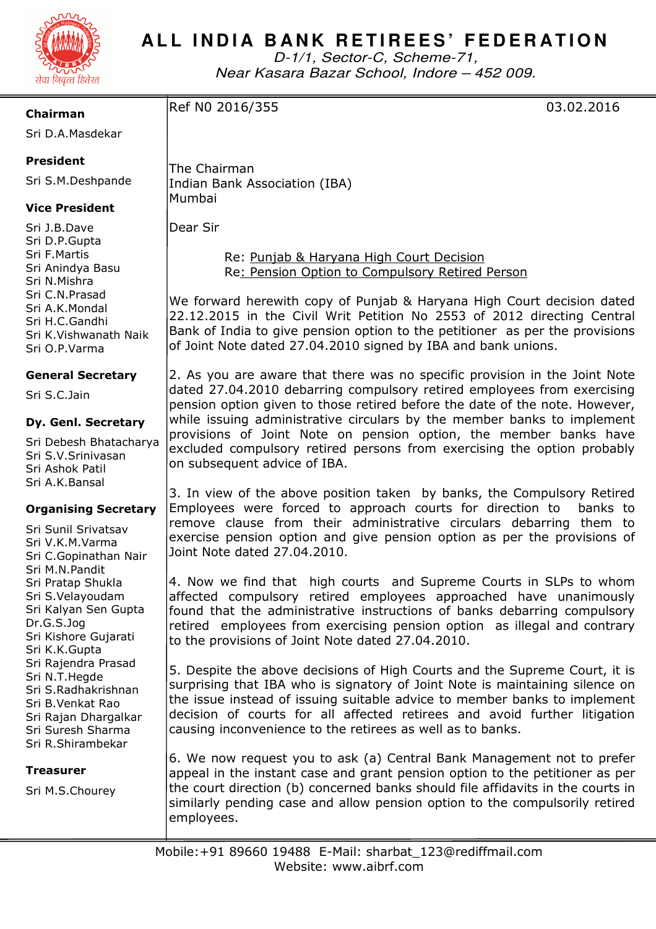

# ALL INDIA BANK RETIREES' FEDERATION

D-1/1, Sector-C, Scheme-71, Near Kasara Bazar School, Indore – 452 009.

**Chairman** 

Sri D.A.Masdekar

## **President**

Sri S.M.Deshpande

## **Vice President**

Sri J.B.Dave Sri D.P.Gupta Sri F.Martis Sri Anindya Basu Sri N.Mishra Sri C.N.Prasad Sri A.K.Mondal Sri H.C.Gandhi Sri K.Vishwanath Naik Sri O.P.Varma

#### **General Secretary**

Sri S.C.Jain

#### **Dy. Genl. Secretary**

Sri Debesh Bhatacharya Sri S.V.Srinivasan Sri Ashok Patil Sri A.K.Bansal

#### **Organising Secretary**

Sri Sunil Srivatsav Sri V.K.M.Varma Sri C.Gopinathan Nair Sri M.N.Pandit Sri Pratap Shukla Sri S.Velayoudam Sri Kalyan Sen Gupta Dr.G.S.Jog Sri Kishore Gujarati Sri K.K.Gupta Sri Rajendra Prasad Sri N.T.Hegde Sri S.Radhakrishnan Sri B.Venkat Rao Sri Rajan Dhargalkar Sri Suresh Sharma Sri R.Shirambekar

#### **Treasurer**

Sri M.S.Chourey

The Chairman Indian Bank Association (IBA) Mumbai

Dear Sir

 Re: Punjab & Haryana High Court Decision Re: Pension Option to Compulsory Retired Person

We forward herewith copy of Punjab & Haryana High Court decision dated 22.12.2015 in the Civil Writ Petition No 2553 of 2012 directing Central Bank of India to give pension option to the petitioner as per the provisions of Joint Note dated 27.04.2010 signed by IBA and bank unions.

2. As you are aware that there was no specific provision in the Joint Note dated 27.04.2010 debarring compulsory retired employees from exercising pension option given to those retired before the date of the note. However, while issuing administrative circulars by the member banks to implement provisions of Joint Note on pension option, the member banks have excluded compulsory retired persons from exercising the option probably on subsequent advice of IBA.

3. In view of the above position taken by banks, the Compulsory Retired Employees were forced to approach courts for direction to banks to remove clause from their administrative circulars debarring them to exercise pension option and give pension option as per the provisions of Joint Note dated 27.04.2010.

4. Now we find that high courts and Supreme Courts in SLPs to whom affected compulsory retired employees approached have unanimously found that the administrative instructions of banks debarring compulsory retired employees from exercising pension option as illegal and contrary to the provisions of Joint Note dated 27.04.2010.

5. Despite the above decisions of High Courts and the Supreme Court, it is surprising that IBA who is signatory of Joint Note is maintaining silence on the issue instead of issuing suitable advice to member banks to implement decision of courts for all affected retirees and avoid further litigation causing inconvenience to the retirees as well as to banks.

6. We now request you to ask (a) Central Bank Management not to prefer appeal in the instant case and grant pension option to the petitioner as per the court direction (b) concerned banks should file affidavits in the courts in similarly pending case and allow pension option to the compulsorily retired employees.

Ref N0 2016/355 03.02.2016